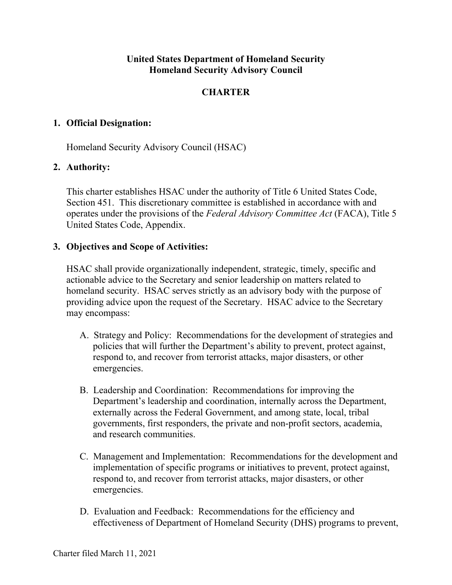## **United States Department of Homeland Security Homeland Security Advisory Council**

# **CHARTER**

## **1. Official Designation:**

Homeland Security Advisory Council (HSAC)

## **2. Authority:**

This charter establishes HSAC under the authority of Title 6 United States Code, Section 451. This discretionary committee is established in accordance with and operates under the provisions of the *Federal Advisory Committee Act* (FACA), Title 5 United States Code, Appendix.

## **3. Objectives and Scope of Activities:**

HSAC shall provide organizationally independent, strategic, timely, specific and actionable advice to the Secretary and senior leadership on matters related to homeland security. HSAC serves strictly as an advisory body with the purpose of providing advice upon the request of the Secretary. HSAC advice to the Secretary may encompass:

- A. Strategy and Policy: Recommendations for the development of strategies and policies that will further the Department's ability to prevent, protect against, respond to, and recover from terrorist attacks, major disasters, or other emergencies.
- B. Leadership and Coordination: Recommendations for improving the Department's leadership and coordination, internally across the Department, externally across the Federal Government, and among state, local, tribal governments, first responders, the private and non-profit sectors, academia, and research communities.
- C. Management and Implementation: Recommendations for the development and implementation of specific programs or initiatives to prevent, protect against, respond to, and recover from terrorist attacks, major disasters, or other emergencies.
- D. Evaluation and Feedback: Recommendations for the efficiency and effectiveness of Department of Homeland Security (DHS) programs to prevent,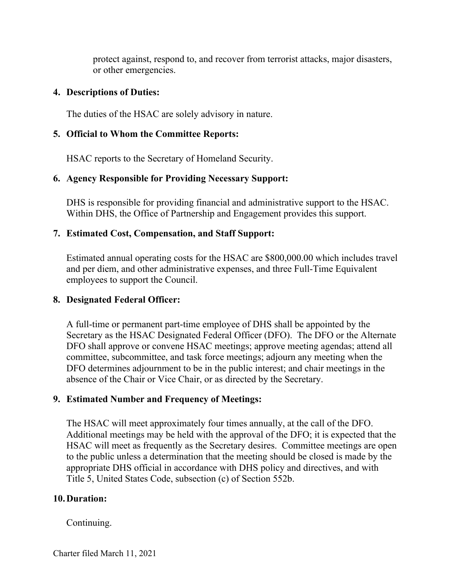protect against, respond to, and recover from terrorist attacks, major disasters, or other emergencies.

## **4. Descriptions of Duties:**

The duties of the HSAC are solely advisory in nature.

## **5. Official to Whom the Committee Reports:**

HSAC reports to the Secretary of Homeland Security.

# **6. Agency Responsible for Providing Necessary Support:**

DHS is responsible for providing financial and administrative support to the HSAC. Within DHS, the Office of Partnership and Engagement provides this support.

## **7. Estimated Cost, Compensation, and Staff Support:**

Estimated annual operating costs for the HSAC are \$800,000.00 which includes travel and per diem, and other administrative expenses, and three Full-Time Equivalent employees to support the Council.

# **8. Designated Federal Officer:**

A full-time or permanent part-time employee of DHS shall be appointed by the Secretary as the HSAC Designated Federal Officer (DFO). The DFO or the Alternate DFO shall approve or convene HSAC meetings; approve meeting agendas; attend all committee, subcommittee, and task force meetings; adjourn any meeting when the DFO determines adjournment to be in the public interest; and chair meetings in the absence of the Chair or Vice Chair, or as directed by the Secretary.

# **9. Estimated Number and Frequency of Meetings:**

The HSAC will meet approximately four times annually, at the call of the DFO. Additional meetings may be held with the approval of the DFO; it is expected that the HSAC will meet as frequently as the Secretary desires. Committee meetings are open to the public unless a determination that the meeting should be closed is made by the appropriate DHS official in accordance with DHS policy and directives, and with Title 5, United States Code, subsection (c) of Section 552b.

# **10.Duration:**

## Continuing.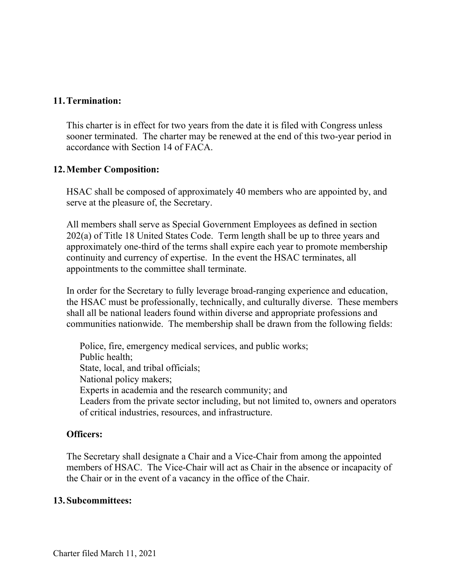#### **11.Termination:**

This charter is in effect for two years from the date it is filed with Congress unless sooner terminated. The charter may be renewed at the end of this two-year period in accordance with Section 14 of FACA.

#### **12.Member Composition:**

HSAC shall be composed of approximately 40 members who are appointed by, and serve at the pleasure of, the Secretary.

All members shall serve as Special Government Employees as defined in section 202(a) of Title 18 United States Code. Term length shall be up to three years and approximately one-third of the terms shall expire each year to promote membership continuity and currency of expertise. In the event the HSAC terminates, all appointments to the committee shall terminate.

In order for the Secretary to fully leverage broad-ranging experience and education, the HSAC must be professionally, technically, and culturally diverse. These members shall all be national leaders found within diverse and appropriate professions and communities nationwide. The membership shall be drawn from the following fields:

Police, fire, emergency medical services, and public works; Public health; State, local, and tribal officials; National policy makers; Experts in academia and the research community; and Leaders from the private sector including, but not limited to, owners and operators of critical industries, resources, and infrastructure.

#### **Officers:**

The Secretary shall designate a Chair and a Vice-Chair from among the appointed members of HSAC. The Vice-Chair will act as Chair in the absence or incapacity of the Chair or in the event of a vacancy in the office of the Chair.

#### **13.Subcommittees:**